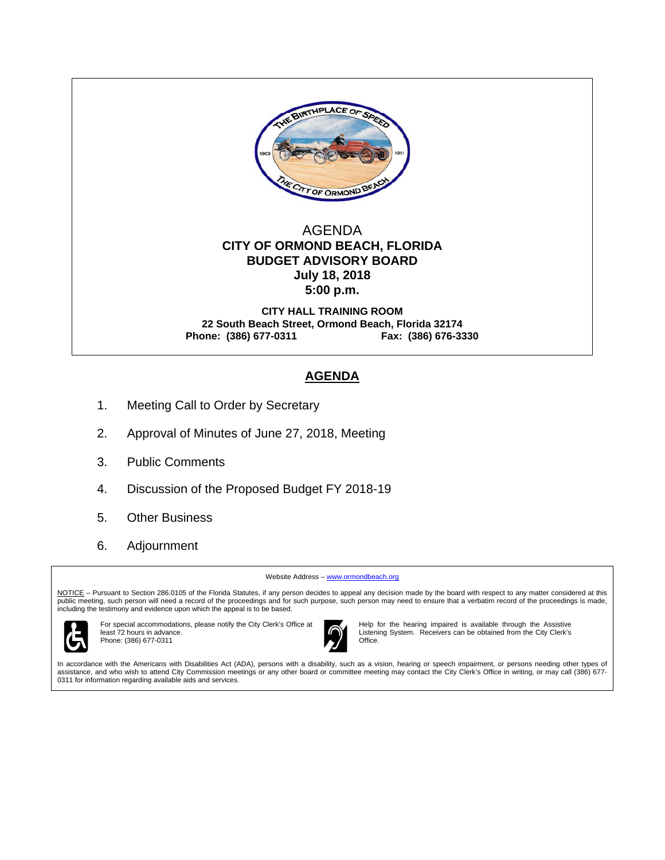

## AGENDA  **CITY OF ORMOND BEACH, FLORIDA BUDGET ADVISORY BOARD July 18, 2018 5:00 p.m.**

**CITY HALL TRAINING ROOM 22 South Beach Street, Ormond Beach, Florida 32174 Phone: (386) 677-0311 Fax: (386) 676-3330** 

# **AGENDA**

- 1. Meeting Call to Order by Secretary
- 2. Approval of Minutes of June 27, 2018, Meeting
- 3. Public Comments
- 4. Discussion of the Proposed Budget FY 2018-19
- 5. Other Business
- 6. Adjournment

Website Address – www.ormondbeach.org

NOTICE – Pursuant to Section 286.0105 of the Florida Statutes, if any person decides to appeal any decision made by the board with respect to any matter considered at this public meeting, such person will need a record of the proceedings and for such purpose, such person may need to ensure that a verbatim record of the proceedings is made, including the testimony and evidence upon which the appeal is to be based.



For special accommodations, please notify the City Clerk's Office at least 72 hours in advance. Phone: (386) 677-0311



Help for the hearing impaired is available through the Assistive Listening System. Receivers can be obtained from the City Clerk's Office.

In accordance with the Americans with Disabilities Act (ADA), persons with a disability, such as a vision, hearing or speech impairment, or persons needing other types of assistance, and who wish to attend City Commission meetings or any other board or committee meeting may contact the City Clerk's Office in writing, or may call (386) 677- 0311 for information regarding available aids and services.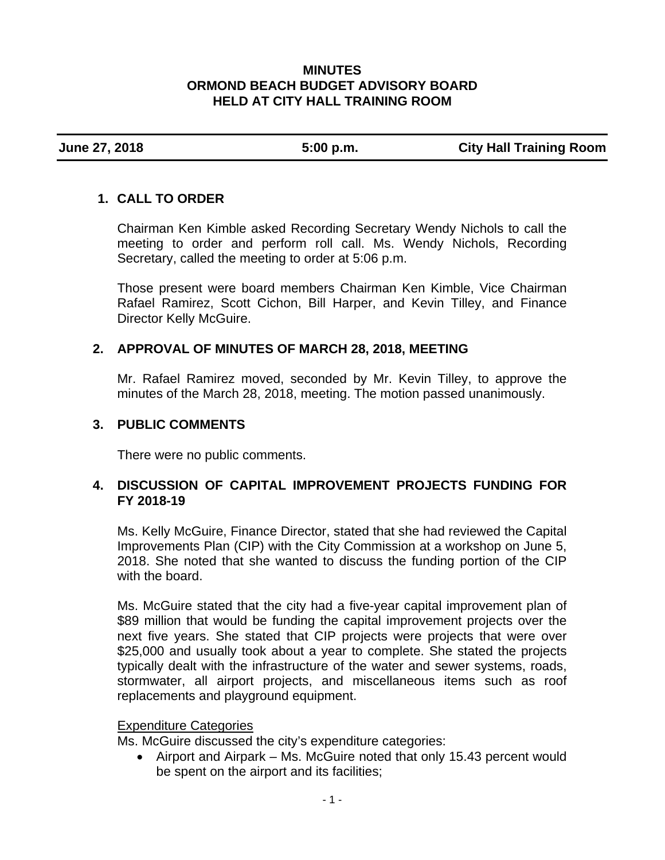#### **MINUTES ORMOND BEACH BUDGET ADVISORY BOARD HELD AT CITY HALL TRAINING ROOM**

**June 27, 2018 5:00 p.m. City Hall Training Room** 

# **1. CALL TO ORDER**

Chairman Ken Kimble asked Recording Secretary Wendy Nichols to call the meeting to order and perform roll call. Ms. Wendy Nichols, Recording Secretary, called the meeting to order at 5:06 p.m.

Those present were board members Chairman Ken Kimble, Vice Chairman Rafael Ramirez, Scott Cichon, Bill Harper, and Kevin Tilley, and Finance Director Kelly McGuire.

## **2. APPROVAL OF MINUTES OF MARCH 28, 2018, MEETING**

Mr. Rafael Ramirez moved, seconded by Mr. Kevin Tilley, to approve the minutes of the March 28, 2018, meeting. The motion passed unanimously.

## **3. PUBLIC COMMENTS**

There were no public comments.

## **4. DISCUSSION OF CAPITAL IMPROVEMENT PROJECTS FUNDING FOR FY 2018-19**

Ms. Kelly McGuire, Finance Director, stated that she had reviewed the Capital Improvements Plan (CIP) with the City Commission at a workshop on June 5, 2018. She noted that she wanted to discuss the funding portion of the CIP with the board.

Ms. McGuire stated that the city had a five-year capital improvement plan of \$89 million that would be funding the capital improvement projects over the next five years. She stated that CIP projects were projects that were over \$25,000 and usually took about a year to complete. She stated the projects typically dealt with the infrastructure of the water and sewer systems, roads, stormwater, all airport projects, and miscellaneous items such as roof replacements and playground equipment.

#### Expenditure Categories

Ms. McGuire discussed the city's expenditure categories:

• Airport and Airpark – Ms. McGuire noted that only 15.43 percent would be spent on the airport and its facilities;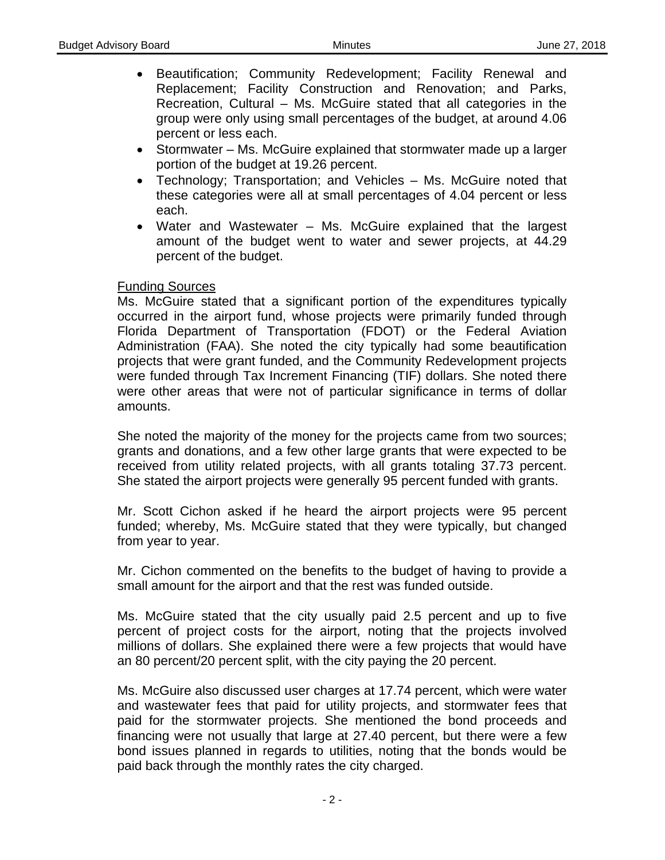- Beautification; Community Redevelopment; Facility Renewal and Replacement; Facility Construction and Renovation; and Parks, Recreation, Cultural – Ms. McGuire stated that all categories in the group were only using small percentages of the budget, at around 4.06 percent or less each.
- Stormwater Ms. McGuire explained that stormwater made up a larger portion of the budget at 19.26 percent.
- Technology; Transportation; and Vehicles Ms. McGuire noted that these categories were all at small percentages of 4.04 percent or less each.
- Water and Wastewater Ms. McGuire explained that the largest amount of the budget went to water and sewer projects, at 44.29 percent of the budget.

#### Funding Sources

Ms. McGuire stated that a significant portion of the expenditures typically occurred in the airport fund, whose projects were primarily funded through Florida Department of Transportation (FDOT) or the Federal Aviation Administration (FAA). She noted the city typically had some beautification projects that were grant funded, and the Community Redevelopment projects were funded through Tax Increment Financing (TIF) dollars. She noted there were other areas that were not of particular significance in terms of dollar amounts.

She noted the majority of the money for the projects came from two sources; grants and donations, and a few other large grants that were expected to be received from utility related projects, with all grants totaling 37.73 percent. She stated the airport projects were generally 95 percent funded with grants.

Mr. Scott Cichon asked if he heard the airport projects were 95 percent funded; whereby, Ms. McGuire stated that they were typically, but changed from year to year.

Mr. Cichon commented on the benefits to the budget of having to provide a small amount for the airport and that the rest was funded outside.

Ms. McGuire stated that the city usually paid 2.5 percent and up to five percent of project costs for the airport, noting that the projects involved millions of dollars. She explained there were a few projects that would have an 80 percent/20 percent split, with the city paying the 20 percent.

Ms. McGuire also discussed user charges at 17.74 percent, which were water and wastewater fees that paid for utility projects, and stormwater fees that paid for the stormwater projects. She mentioned the bond proceeds and financing were not usually that large at 27.40 percent, but there were a few bond issues planned in regards to utilities, noting that the bonds would be paid back through the monthly rates the city charged.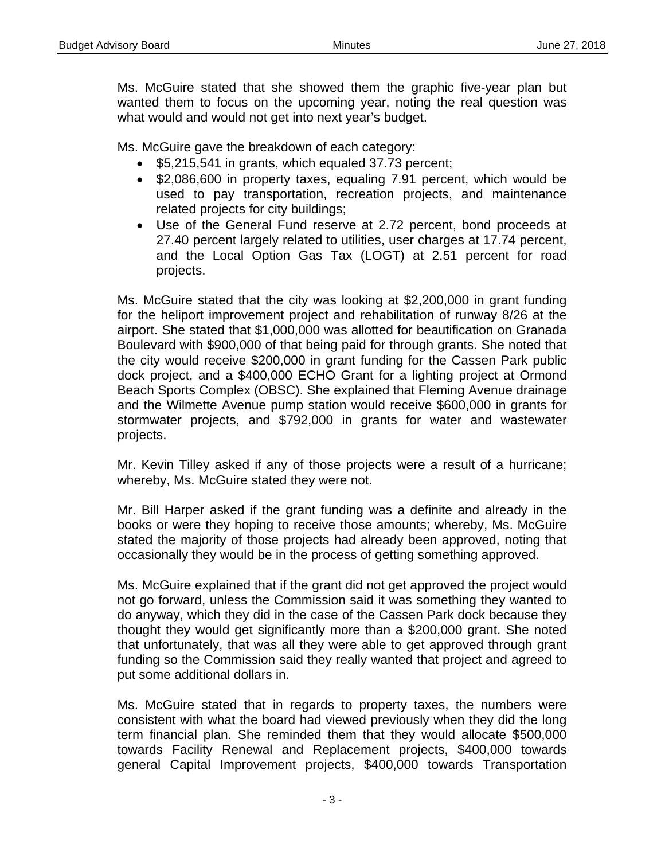Ms. McGuire stated that she showed them the graphic five-year plan but wanted them to focus on the upcoming year, noting the real question was what would and would not get into next year's budget.

Ms. McGuire gave the breakdown of each category:

- $\bullet$  \$5,215,541 in grants, which equaled 37.73 percent;
- \$2,086,600 in property taxes, equaling 7.91 percent, which would be used to pay transportation, recreation projects, and maintenance related projects for city buildings;
- Use of the General Fund reserve at 2.72 percent, bond proceeds at 27.40 percent largely related to utilities, user charges at 17.74 percent, and the Local Option Gas Tax (LOGT) at 2.51 percent for road projects.

Ms. McGuire stated that the city was looking at \$2,200,000 in grant funding for the heliport improvement project and rehabilitation of runway 8/26 at the airport. She stated that \$1,000,000 was allotted for beautification on Granada Boulevard with \$900,000 of that being paid for through grants. She noted that the city would receive \$200,000 in grant funding for the Cassen Park public dock project, and a \$400,000 ECHO Grant for a lighting project at Ormond Beach Sports Complex (OBSC). She explained that Fleming Avenue drainage and the Wilmette Avenue pump station would receive \$600,000 in grants for stormwater projects, and \$792,000 in grants for water and wastewater projects.

Mr. Kevin Tilley asked if any of those projects were a result of a hurricane; whereby, Ms. McGuire stated they were not.

Mr. Bill Harper asked if the grant funding was a definite and already in the books or were they hoping to receive those amounts; whereby, Ms. McGuire stated the majority of those projects had already been approved, noting that occasionally they would be in the process of getting something approved.

Ms. McGuire explained that if the grant did not get approved the project would not go forward, unless the Commission said it was something they wanted to do anyway, which they did in the case of the Cassen Park dock because they thought they would get significantly more than a \$200,000 grant. She noted that unfortunately, that was all they were able to get approved through grant funding so the Commission said they really wanted that project and agreed to put some additional dollars in.

Ms. McGuire stated that in regards to property taxes, the numbers were consistent with what the board had viewed previously when they did the long term financial plan. She reminded them that they would allocate \$500,000 towards Facility Renewal and Replacement projects, \$400,000 towards general Capital Improvement projects, \$400,000 towards Transportation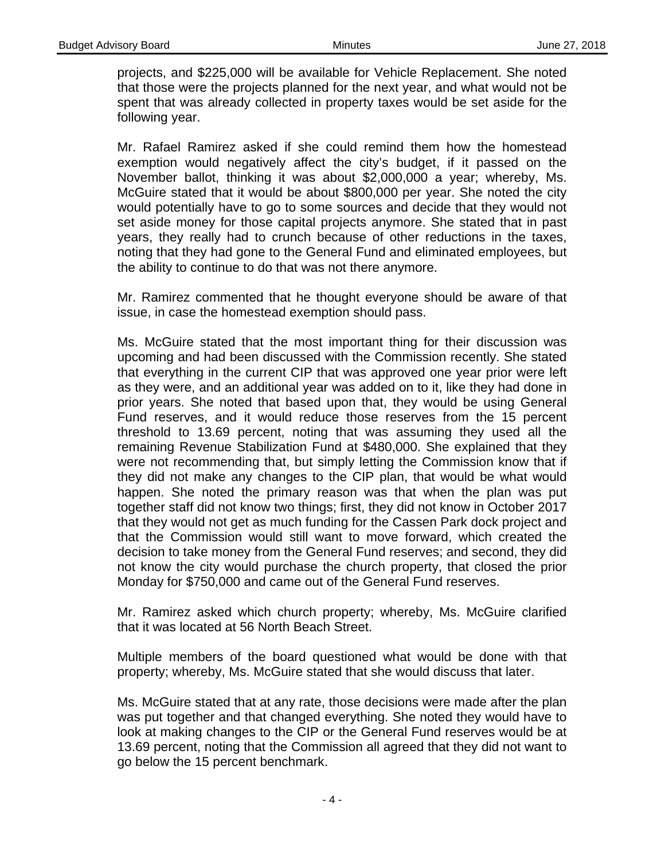projects, and \$225,000 will be available for Vehicle Replacement. She noted that those were the projects planned for the next year, and what would not be spent that was already collected in property taxes would be set aside for the following year.

Mr. Rafael Ramirez asked if she could remind them how the homestead exemption would negatively affect the city's budget, if it passed on the November ballot, thinking it was about \$2,000,000 a year; whereby, Ms. McGuire stated that it would be about \$800,000 per year. She noted the city would potentially have to go to some sources and decide that they would not set aside money for those capital projects anymore. She stated that in past years, they really had to crunch because of other reductions in the taxes, noting that they had gone to the General Fund and eliminated employees, but the ability to continue to do that was not there anymore.

Mr. Ramirez commented that he thought everyone should be aware of that issue, in case the homestead exemption should pass.

Ms. McGuire stated that the most important thing for their discussion was upcoming and had been discussed with the Commission recently. She stated that everything in the current CIP that was approved one year prior were left as they were, and an additional year was added on to it, like they had done in prior years. She noted that based upon that, they would be using General Fund reserves, and it would reduce those reserves from the 15 percent threshold to 13.69 percent, noting that was assuming they used all the remaining Revenue Stabilization Fund at \$480,000. She explained that they were not recommending that, but simply letting the Commission know that if they did not make any changes to the CIP plan, that would be what would happen. She noted the primary reason was that when the plan was put together staff did not know two things; first, they did not know in October 2017 that they would not get as much funding for the Cassen Park dock project and that the Commission would still want to move forward, which created the decision to take money from the General Fund reserves; and second, they did not know the city would purchase the church property, that closed the prior Monday for \$750,000 and came out of the General Fund reserves.

Mr. Ramirez asked which church property; whereby, Ms. McGuire clarified that it was located at 56 North Beach Street.

Multiple members of the board questioned what would be done with that property; whereby, Ms. McGuire stated that she would discuss that later.

Ms. McGuire stated that at any rate, those decisions were made after the plan was put together and that changed everything. She noted they would have to look at making changes to the CIP or the General Fund reserves would be at 13.69 percent, noting that the Commission all agreed that they did not want to go below the 15 percent benchmark.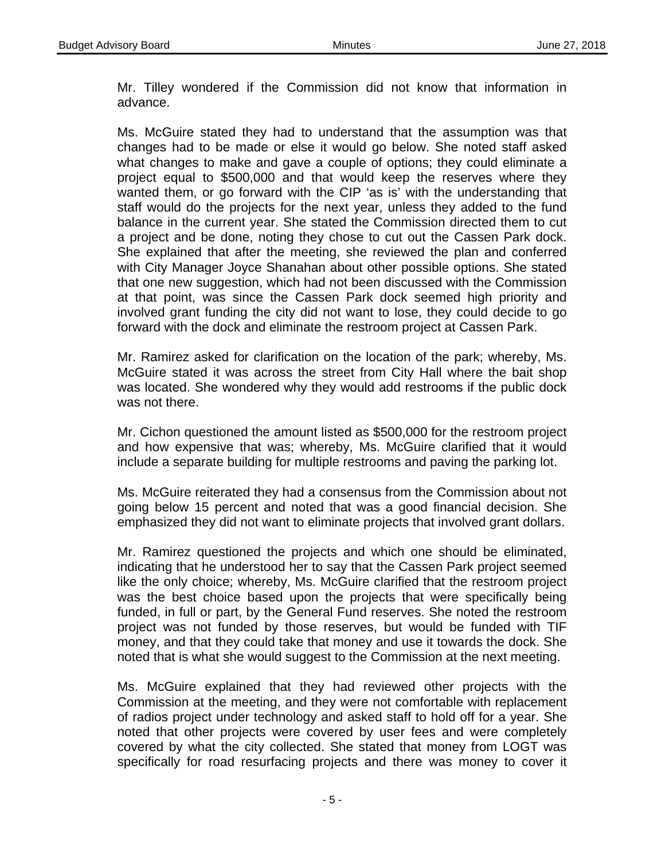Mr. Tilley wondered if the Commission did not know that information in advance.

Ms. McGuire stated they had to understand that the assumption was that changes had to be made or else it would go below. She noted staff asked what changes to make and gave a couple of options; they could eliminate a project equal to \$500,000 and that would keep the reserves where they wanted them, or go forward with the CIP 'as is' with the understanding that staff would do the projects for the next year, unless they added to the fund balance in the current year. She stated the Commission directed them to cut a project and be done, noting they chose to cut out the Cassen Park dock. She explained that after the meeting, she reviewed the plan and conferred with City Manager Joyce Shanahan about other possible options. She stated that one new suggestion, which had not been discussed with the Commission at that point, was since the Cassen Park dock seemed high priority and involved grant funding the city did not want to lose, they could decide to go forward with the dock and eliminate the restroom project at Cassen Park.

Mr. Ramirez asked for clarification on the location of the park; whereby, Ms. McGuire stated it was across the street from City Hall where the bait shop was located. She wondered why they would add restrooms if the public dock was not there.

Mr. Cichon questioned the amount listed as \$500,000 for the restroom project and how expensive that was; whereby, Ms. McGuire clarified that it would include a separate building for multiple restrooms and paving the parking lot.

Ms. McGuire reiterated they had a consensus from the Commission about not going below 15 percent and noted that was a good financial decision. She emphasized they did not want to eliminate projects that involved grant dollars.

Mr. Ramirez questioned the projects and which one should be eliminated, indicating that he understood her to say that the Cassen Park project seemed like the only choice; whereby, Ms. McGuire clarified that the restroom project was the best choice based upon the projects that were specifically being funded, in full or part, by the General Fund reserves. She noted the restroom project was not funded by those reserves, but would be funded with TIF money, and that they could take that money and use it towards the dock. She noted that is what she would suggest to the Commission at the next meeting.

Ms. McGuire explained that they had reviewed other projects with the Commission at the meeting, and they were not comfortable with replacement of radios project under technology and asked staff to hold off for a year. She noted that other projects were covered by user fees and were completely covered by what the city collected. She stated that money from LOGT was specifically for road resurfacing projects and there was money to cover it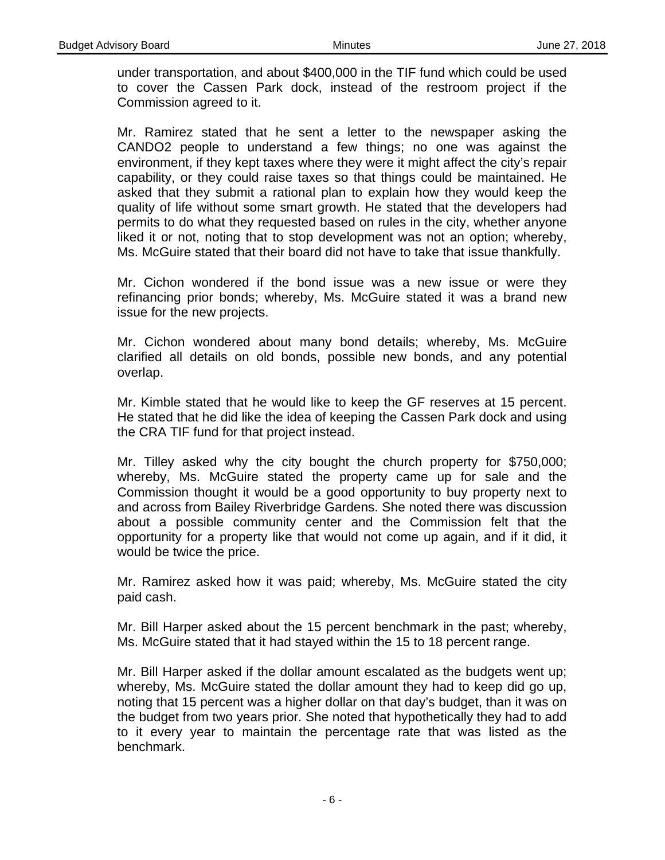under transportation, and about \$400,000 in the TIF fund which could be used to cover the Cassen Park dock, instead of the restroom project if the Commission agreed to it.

Mr. Ramirez stated that he sent a letter to the newspaper asking the CANDO2 people to understand a few things; no one was against the environment, if they kept taxes where they were it might affect the city's repair capability, or they could raise taxes so that things could be maintained. He asked that they submit a rational plan to explain how they would keep the quality of life without some smart growth. He stated that the developers had permits to do what they requested based on rules in the city, whether anyone liked it or not, noting that to stop development was not an option; whereby, Ms. McGuire stated that their board did not have to take that issue thankfully.

Mr. Cichon wondered if the bond issue was a new issue or were they refinancing prior bonds; whereby, Ms. McGuire stated it was a brand new issue for the new projects.

Mr. Cichon wondered about many bond details; whereby, Ms. McGuire clarified all details on old bonds, possible new bonds, and any potential overlap.

Mr. Kimble stated that he would like to keep the GF reserves at 15 percent. He stated that he did like the idea of keeping the Cassen Park dock and using the CRA TIF fund for that project instead.

Mr. Tilley asked why the city bought the church property for \$750,000; whereby, Ms. McGuire stated the property came up for sale and the Commission thought it would be a good opportunity to buy property next to and across from Bailey Riverbridge Gardens. She noted there was discussion about a possible community center and the Commission felt that the opportunity for a property like that would not come up again, and if it did, it would be twice the price.

Mr. Ramirez asked how it was paid; whereby, Ms. McGuire stated the city paid cash.

Mr. Bill Harper asked about the 15 percent benchmark in the past; whereby, Ms. McGuire stated that it had stayed within the 15 to 18 percent range.

Mr. Bill Harper asked if the dollar amount escalated as the budgets went up; whereby, Ms. McGuire stated the dollar amount they had to keep did go up, noting that 15 percent was a higher dollar on that day's budget, than it was on the budget from two years prior. She noted that hypothetically they had to add to it every year to maintain the percentage rate that was listed as the benchmark.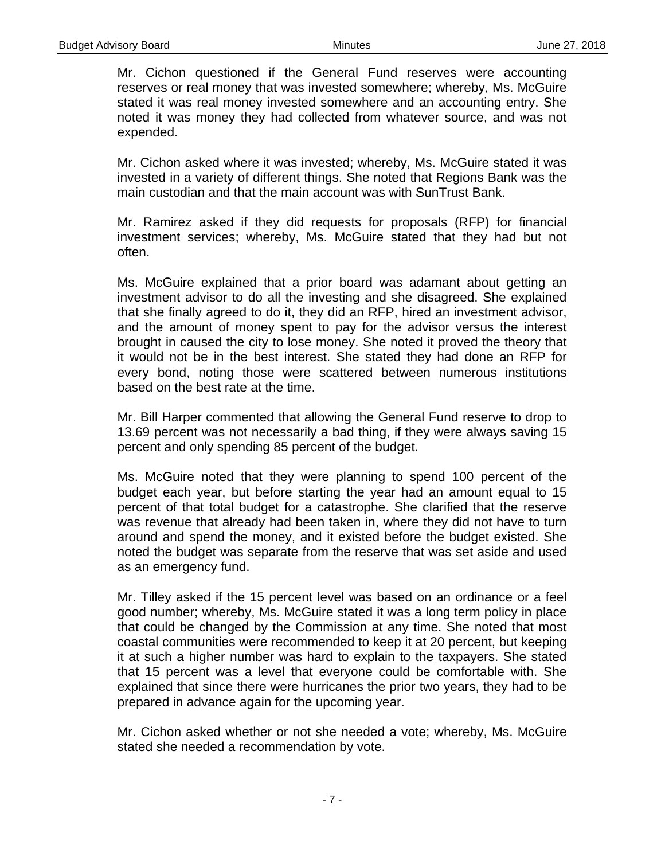Mr. Cichon questioned if the General Fund reserves were accounting reserves or real money that was invested somewhere; whereby, Ms. McGuire stated it was real money invested somewhere and an accounting entry. She noted it was money they had collected from whatever source, and was not expended.

Mr. Cichon asked where it was invested; whereby, Ms. McGuire stated it was invested in a variety of different things. She noted that Regions Bank was the main custodian and that the main account was with SunTrust Bank.

Mr. Ramirez asked if they did requests for proposals (RFP) for financial investment services; whereby, Ms. McGuire stated that they had but not often.

Ms. McGuire explained that a prior board was adamant about getting an investment advisor to do all the investing and she disagreed. She explained that she finally agreed to do it, they did an RFP, hired an investment advisor, and the amount of money spent to pay for the advisor versus the interest brought in caused the city to lose money. She noted it proved the theory that it would not be in the best interest. She stated they had done an RFP for every bond, noting those were scattered between numerous institutions based on the best rate at the time.

Mr. Bill Harper commented that allowing the General Fund reserve to drop to 13.69 percent was not necessarily a bad thing, if they were always saving 15 percent and only spending 85 percent of the budget.

Ms. McGuire noted that they were planning to spend 100 percent of the budget each year, but before starting the year had an amount equal to 15 percent of that total budget for a catastrophe. She clarified that the reserve was revenue that already had been taken in, where they did not have to turn around and spend the money, and it existed before the budget existed. She noted the budget was separate from the reserve that was set aside and used as an emergency fund.

Mr. Tilley asked if the 15 percent level was based on an ordinance or a feel good number; whereby, Ms. McGuire stated it was a long term policy in place that could be changed by the Commission at any time. She noted that most coastal communities were recommended to keep it at 20 percent, but keeping it at such a higher number was hard to explain to the taxpayers. She stated that 15 percent was a level that everyone could be comfortable with. She explained that since there were hurricanes the prior two years, they had to be prepared in advance again for the upcoming year.

Mr. Cichon asked whether or not she needed a vote; whereby, Ms. McGuire stated she needed a recommendation by vote.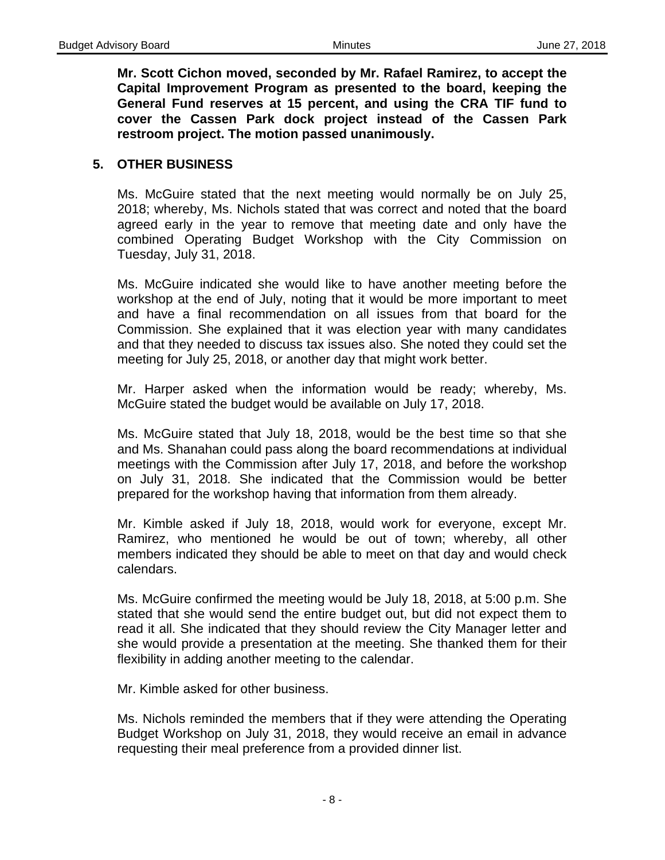**Mr. Scott Cichon moved, seconded by Mr. Rafael Ramirez, to accept the Capital Improvement Program as presented to the board, keeping the General Fund reserves at 15 percent, and using the CRA TIF fund to cover the Cassen Park dock project instead of the Cassen Park restroom project. The motion passed unanimously.** 

#### **5. OTHER BUSINESS**

Ms. McGuire stated that the next meeting would normally be on July 25, 2018; whereby, Ms. Nichols stated that was correct and noted that the board agreed early in the year to remove that meeting date and only have the combined Operating Budget Workshop with the City Commission on Tuesday, July 31, 2018.

Ms. McGuire indicated she would like to have another meeting before the workshop at the end of July, noting that it would be more important to meet and have a final recommendation on all issues from that board for the Commission. She explained that it was election year with many candidates and that they needed to discuss tax issues also. She noted they could set the meeting for July 25, 2018, or another day that might work better.

Mr. Harper asked when the information would be ready; whereby, Ms. McGuire stated the budget would be available on July 17, 2018.

Ms. McGuire stated that July 18, 2018, would be the best time so that she and Ms. Shanahan could pass along the board recommendations at individual meetings with the Commission after July 17, 2018, and before the workshop on July 31, 2018. She indicated that the Commission would be better prepared for the workshop having that information from them already.

Mr. Kimble asked if July 18, 2018, would work for everyone, except Mr. Ramirez, who mentioned he would be out of town; whereby, all other members indicated they should be able to meet on that day and would check calendars.

Ms. McGuire confirmed the meeting would be July 18, 2018, at 5:00 p.m. She stated that she would send the entire budget out, but did not expect them to read it all. She indicated that they should review the City Manager letter and she would provide a presentation at the meeting. She thanked them for their flexibility in adding another meeting to the calendar.

Mr. Kimble asked for other business.

Ms. Nichols reminded the members that if they were attending the Operating Budget Workshop on July 31, 2018, they would receive an email in advance requesting their meal preference from a provided dinner list.